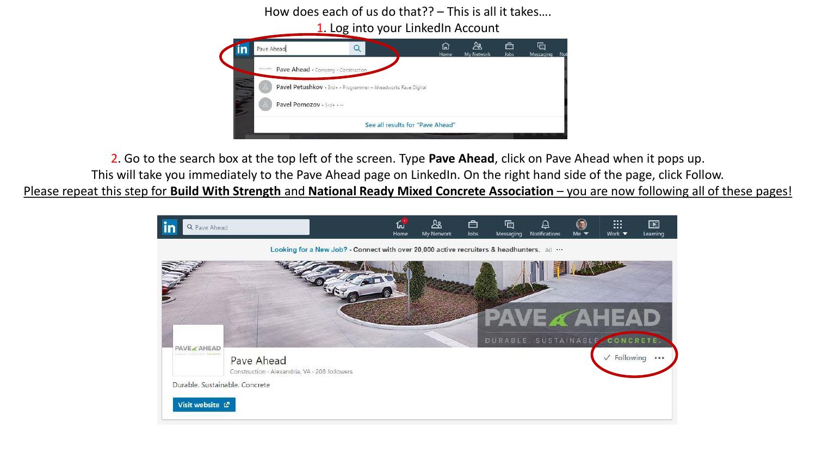How does each of us do that?? – This is all it takes….



2. Go to the search box at the top left of the screen. Type **Pave Ahead**, click on Pave Ahead when it pops up.

This will take you immediately to the Pave Ahead page on LinkedIn. On the right hand side of the page, click Follow.

Please repeat this step for **Build With Strength** and **National Ready Mixed Concrete Association** – you are now following all of these pages!

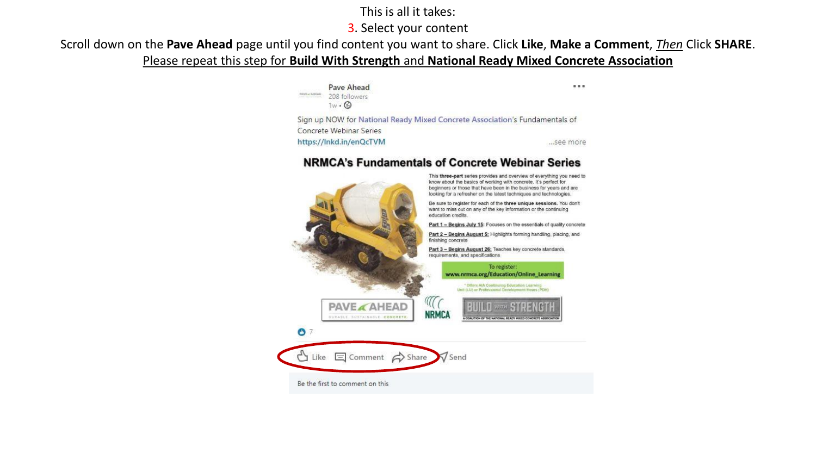## This is all it takes:

## 3. Select your content

Scroll down on the **Pave Ahead** page until you find content you want to share. Click **Like**, **Make a Comment**, *Then* Click **SHARE**. Please repeat this step for **Build With Strength** and **National Ready Mixed Concrete Association**

> Pave Ahead 1111 INVER ANEAD 208 followers  $1w \cdot \textcircled{k}$ Sign up NOW for National Ready Mixed Concrete Association's Fundamentals of Concrete Webinar Series https://Inkd.in/enQcTVM ...see more

## **NRMCA's Fundamentals of Concrete Webinar Series**

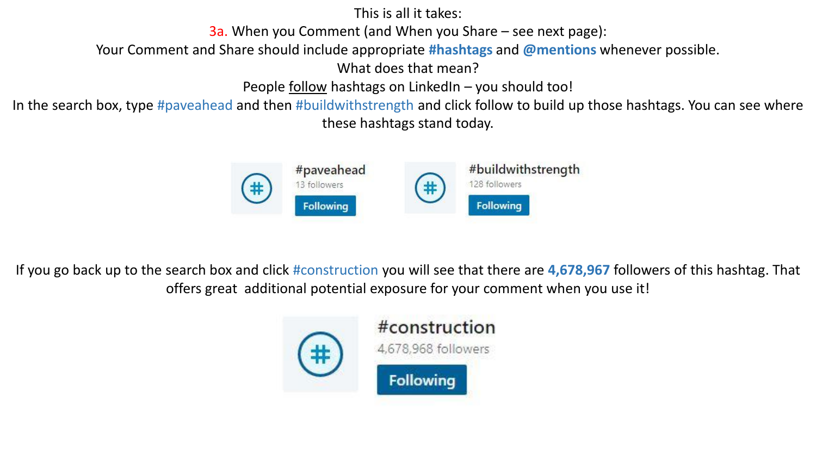This is all it takes:

3a. When you Comment (and When you Share – see next page):

Your Comment and Share should include appropriate **#hashtags** and **@mentions** whenever possible.

What does that mean?

People <u>follow</u> hashtags on LinkedIn – you should too!

In the search box, type #paveahead and then #buildwithstrength and click follow to build up those hashtags. You can see where these hashtags stand today.



If you go back up to the search box and click #construction you will see that there are **4,678,967** followers of this hashtag. That offers great additional potential exposure for your comment when you use it!